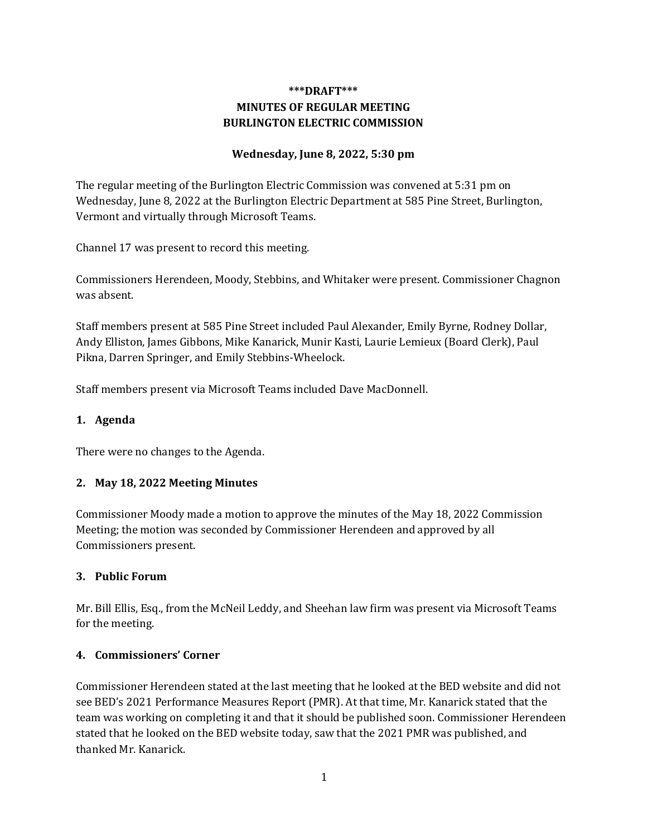# **\*\*\*DRAFT\*\*\* MINUTES OF REGULAR MEETING BURLINGTON ELECTRIC COMMISSION**

### **Wednesday, June 8, 2022, 5:30 pm**

The regular meeting of the Burlington Electric Commission was convened at 5:31 pm on Wednesday, June 8, 2022 at the Burlington Electric Department at 585 Pine Street, Burlington, Vermont and virtually through Microsoft Teams.

Channel 17 was present to record this meeting.

Commissioners Herendeen, Moody, Stebbins, and Whitaker were present. Commissioner Chagnon was absent.

Staff members present at 585 Pine Street included Paul Alexander, Emily Byrne, Rodney Dollar, Andy Elliston, James Gibbons, Mike Kanarick, Munir Kasti, Laurie Lemieux (Board Clerk), Paul Pikna, Darren Springer, and Emily Stebbins-Wheelock.

Staff members present via Microsoft Teams included Dave MacDonnell.

#### **1. Agenda**

There were no changes to the Agenda.

#### **2. May 18, 2022 Meeting Minutes**

Commissioner Moody made a motion to approve the minutes of the May 18, 2022 Commission Meeting; the motion was seconded by Commissioner Herendeen and approved by all Commissioners present.

#### **3. Public Forum**

Mr. Bill Ellis, Esq., from the McNeil Leddy, and Sheehan law firm was present via Microsoft Teams for the meeting.

#### **4. Commissioners' Corner**

Commissioner Herendeen stated at the last meeting that he looked at the BED website and did not see BED's 2021 Performance Measures Report (PMR). At that time, Mr. Kanarick stated that the team was working on completing it and that it should be published soon. Commissioner Herendeen stated that he looked on the BED website today, saw that the 2021 PMR was published, and thanked Mr. Kanarick.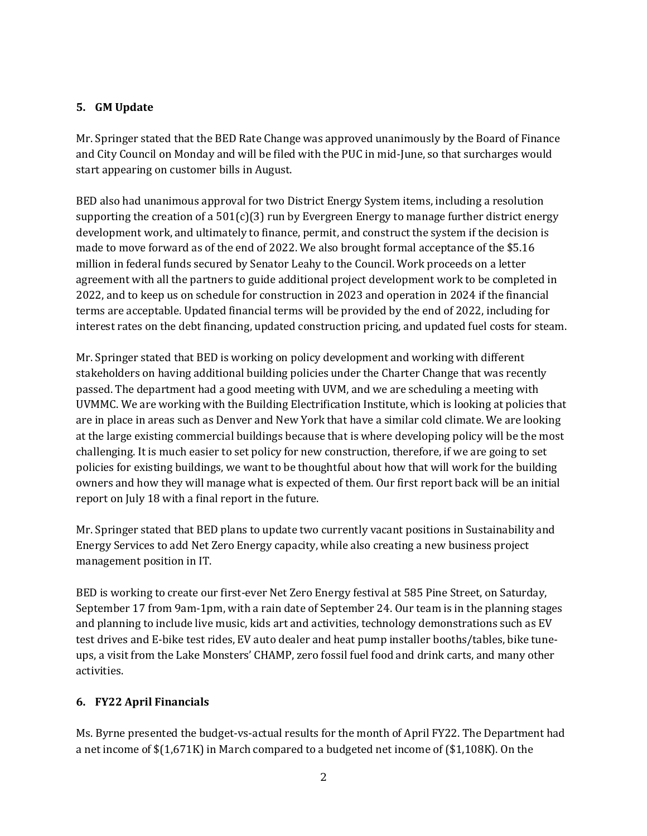### **5. GM Update**

Mr. Springer stated that the BED Rate Change was approved unanimously by the Board of Finance and City Council on Monday and will be filed with the PUC in mid-June, so that surcharges would start appearing on customer bills in August.

BED also had unanimous approval for two District Energy System items, including a resolution supporting the creation of a  $501(c)(3)$  run by Evergreen Energy to manage further district energy development work, and ultimately to finance, permit, and construct the system if the decision is made to move forward as of the end of 2022. We also brought formal acceptance of the \$5.16 million in federal funds secured by Senator Leahy to the Council. Work proceeds on a letter agreement with all the partners to guide additional project development work to be completed in 2022, and to keep us on schedule for construction in 2023 and operation in 2024 if the financial terms are acceptable. Updated financial terms will be provided by the end of 2022, including for interest rates on the debt financing, updated construction pricing, and updated fuel costs for steam.

Mr. Springer stated that BED is working on policy development and working with different stakeholders on having additional building policies under the Charter Change that was recently passed. The department had a good meeting with UVM, and we are scheduling a meeting with UVMMC. We are working with the Building Electrification Institute, which is looking at policies that are in place in areas such as Denver and New York that have a similar cold climate. We are looking at the large existing commercial buildings because that is where developing policy will be the most challenging. It is much easier to set policy for new construction, therefore, if we are going to set policies for existing buildings, we want to be thoughtful about how that will work for the building owners and how they will manage what is expected of them. Our first report back will be an initial report on July 18 with a final report in the future.

Mr. Springer stated that BED plans to update two currently vacant positions in Sustainability and Energy Services to add Net Zero Energy capacity, while also creating a new business project management position in IT.

BED is working to create our first-ever Net Zero Energy festival at 585 Pine Street, on Saturday, September 17 from 9am-1pm, with a rain date of September 24. Our team is in the planning stages and planning to include live music, kids art and activities, technology demonstrations such as EV test drives and E-bike test rides, EV auto dealer and heat pump installer booths/tables, bike tuneups, a visit from the Lake Monsters' CHAMP, zero fossil fuel food and drink carts, and many other activities.

# **6. FY22 April Financials**

Ms. Byrne presented the budget-vs-actual results for the month of April FY22. The Department had a net income of \$(1,671K) in March compared to a budgeted net income of (\$1,108K). On the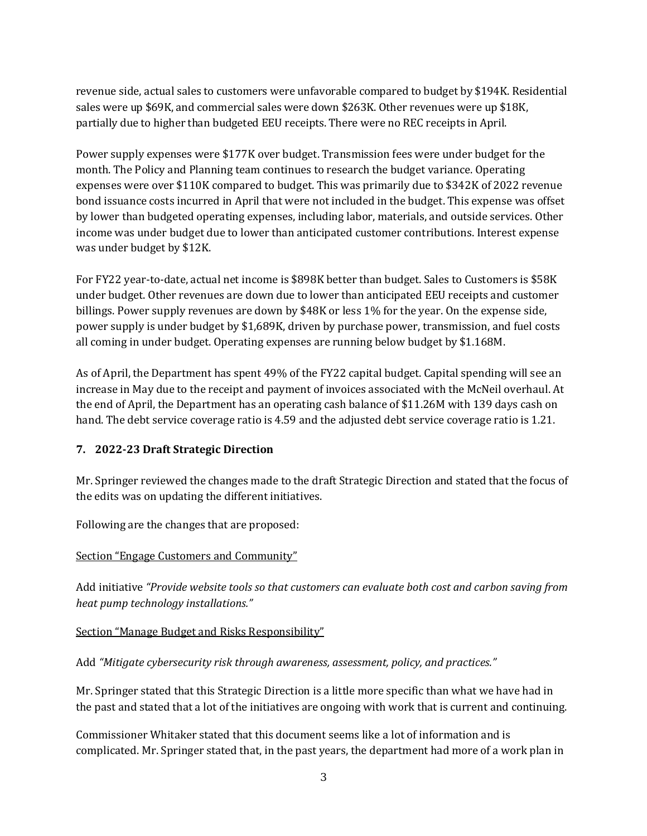revenue side, actual sales to customers were unfavorable compared to budget by \$194K. Residential sales were up \$69K, and commercial sales were down \$263K. Other revenues were up \$18K, partially due to higher than budgeted EEU receipts. There were no REC receipts in April.

Power supply expenses were \$177K over budget. Transmission fees were under budget for the month. The Policy and Planning team continues to research the budget variance. Operating expenses were over \$110K compared to budget. This was primarily due to \$342K of 2022 revenue bond issuance costs incurred in April that were not included in the budget. This expense was offset by lower than budgeted operating expenses, including labor, materials, and outside services. Other income was under budget due to lower than anticipated customer contributions. Interest expense was under budget by \$12K.

For FY22 year-to-date, actual net income is \$898K better than budget. Sales to Customers is \$58K under budget. Other revenues are down due to lower than anticipated EEU receipts and customer billings. Power supply revenues are down by \$48K or less 1% for the year. On the expense side, power supply is under budget by \$1,689K, driven by purchase power, transmission, and fuel costs all coming in under budget. Operating expenses are running below budget by \$1.168M.

As of April, the Department has spent 49% of the FY22 capital budget. Capital spending will see an increase in May due to the receipt and payment of invoices associated with the McNeil overhaul. At the end of April, the Department has an operating cash balance of \$11.26M with 139 days cash on hand. The debt service coverage ratio is 4.59 and the adjusted debt service coverage ratio is 1.21.

#### **7. 2022-23 Draft Strategic Direction**

Mr. Springer reviewed the changes made to the draft Strategic Direction and stated that the focus of the edits was on updating the different initiatives.

Following are the changes that are proposed:

#### Section "Engage Customers and Community"

Add initiative *"Provide website tools so that customers can evaluate both cost and carbon saving from heat pump technology installations."*

#### Section "Manage Budget and Risks Responsibility"

Add *"Mitigate cybersecurity risk through awareness, assessment, policy, and practices."*

Mr. Springer stated that this Strategic Direction is a little more specific than what we have had in the past and stated that a lot of the initiatives are ongoing with work that is current and continuing.

Commissioner Whitaker stated that this document seems like a lot of information and is complicated. Mr. Springer stated that, in the past years, the department had more of a work plan in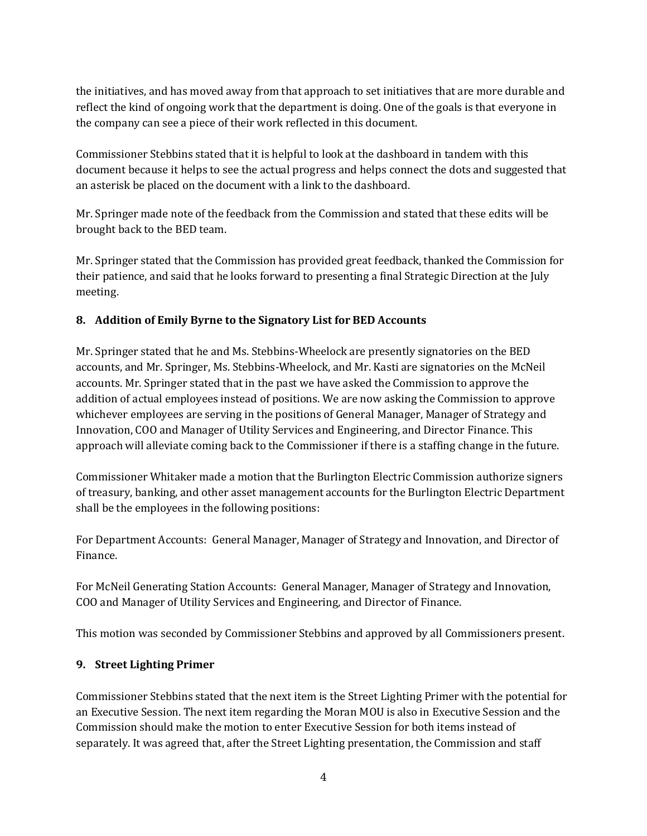the initiatives, and has moved away from that approach to set initiatives that are more durable and reflect the kind of ongoing work that the department is doing. One of the goals is that everyone in the company can see a piece of their work reflected in this document.

Commissioner Stebbins stated that it is helpful to look at the dashboard in tandem with this document because it helps to see the actual progress and helps connect the dots and suggested that an asterisk be placed on the document with a link to the dashboard.

Mr. Springer made note of the feedback from the Commission and stated that these edits will be brought back to the BED team.

Mr. Springer stated that the Commission has provided great feedback, thanked the Commission for their patience, and said that he looks forward to presenting a final Strategic Direction at the July meeting.

### **8. Addition of Emily Byrne to the Signatory List for BED Accounts**

Mr. Springer stated that he and Ms. Stebbins-Wheelock are presently signatories on the BED accounts, and Mr. Springer, Ms. Stebbins-Wheelock, and Mr. Kasti are signatories on the McNeil accounts. Mr. Springer stated that in the past we have asked the Commission to approve the addition of actual employees instead of positions. We are now asking the Commission to approve whichever employees are serving in the positions of General Manager, Manager of Strategy and Innovation, COO and Manager of Utility Services and Engineering, and Director Finance. This approach will alleviate coming back to the Commissioner if there is a staffing change in the future.

Commissioner Whitaker made a motion that the Burlington Electric Commission authorize signers of treasury, banking, and other asset management accounts for the Burlington Electric Department shall be the employees in the following positions:

For Department Accounts: General Manager, Manager of Strategy and Innovation, and Director of Finance.

For McNeil Generating Station Accounts: General Manager, Manager of Strategy and Innovation, COO and Manager of Utility Services and Engineering, and Director of Finance.

This motion was seconded by Commissioner Stebbins and approved by all Commissioners present.

# **9. Street Lighting Primer**

Commissioner Stebbins stated that the next item is the Street Lighting Primer with the potential for an Executive Session. The next item regarding the Moran MOU is also in Executive Session and the Commission should make the motion to enter Executive Session for both items instead of separately. It was agreed that, after the Street Lighting presentation, the Commission and staff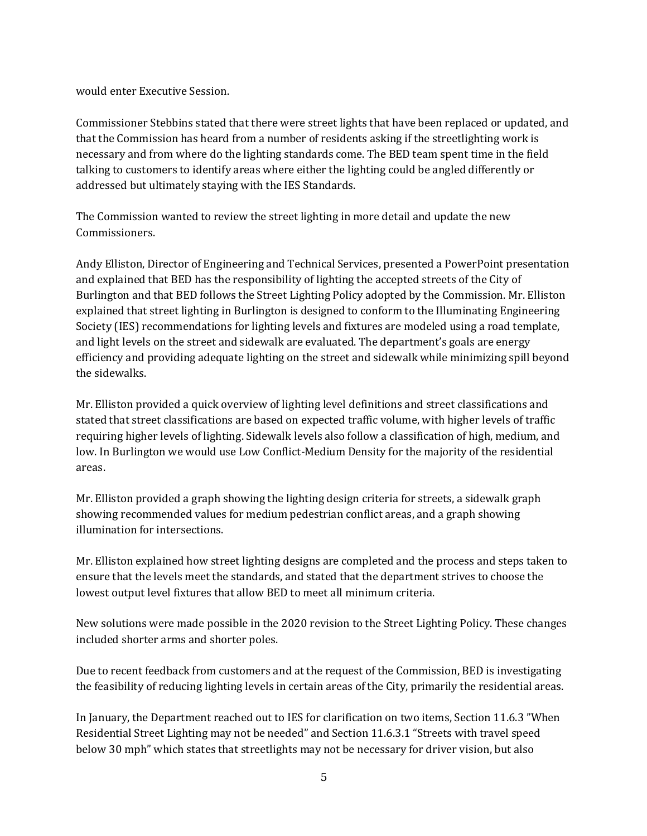would enter Executive Session.

Commissioner Stebbins stated that there were street lights that have been replaced or updated, and that the Commission has heard from a number of residents asking if the streetlighting work is necessary and from where do the lighting standards come. The BED team spent time in the field talking to customers to identify areas where either the lighting could be angled differently or addressed but ultimately staying with the IES Standards.

The Commission wanted to review the street lighting in more detail and update the new Commissioners.

Andy Elliston, Director of Engineering and Technical Services, presented a PowerPoint presentation and explained that BED has the responsibility of lighting the accepted streets of the City of Burlington and that BED follows the Street Lighting Policy adopted by the Commission. Mr. Elliston explained that street lighting in Burlington is designed to conform to the Illuminating Engineering Society (IES) recommendations for lighting levels and fixtures are modeled using a road template, and light levels on the street and sidewalk are evaluated. The department's goals are energy efficiency and providing adequate lighting on the street and sidewalk while minimizing spill beyond the sidewalks.

Mr. Elliston provided a quick overview of lighting level definitions and street classifications and stated that street classifications are based on expected traffic volume, with higher levels of traffic requiring higher levels of lighting. Sidewalk levels also follow a classification of high, medium, and low. In Burlington we would use Low Conflict-Medium Density for the majority of the residential areas.

Mr. Elliston provided a graph showing the lighting design criteria for streets, a sidewalk graph showing recommended values for medium pedestrian conflict areas, and a graph showing illumination for intersections.

Mr. Elliston explained how street lighting designs are completed and the process and steps taken to ensure that the levels meet the standards, and stated that the department strives to choose the lowest output level fixtures that allow BED to meet all minimum criteria.

New solutions were made possible in the 2020 revision to the Street Lighting Policy. These changes included shorter arms and shorter poles.

Due to recent feedback from customers and at the request of the Commission, BED is investigating the feasibility of reducing lighting levels in certain areas of the City, primarily the residential areas.

In January, the Department reached out to IES for clarification on two items, Section 11.6.3 "When Residential Street Lighting may not be needed" and Section 11.6.3.1 "Streets with travel speed below 30 mph" which states that streetlights may not be necessary for driver vision, but also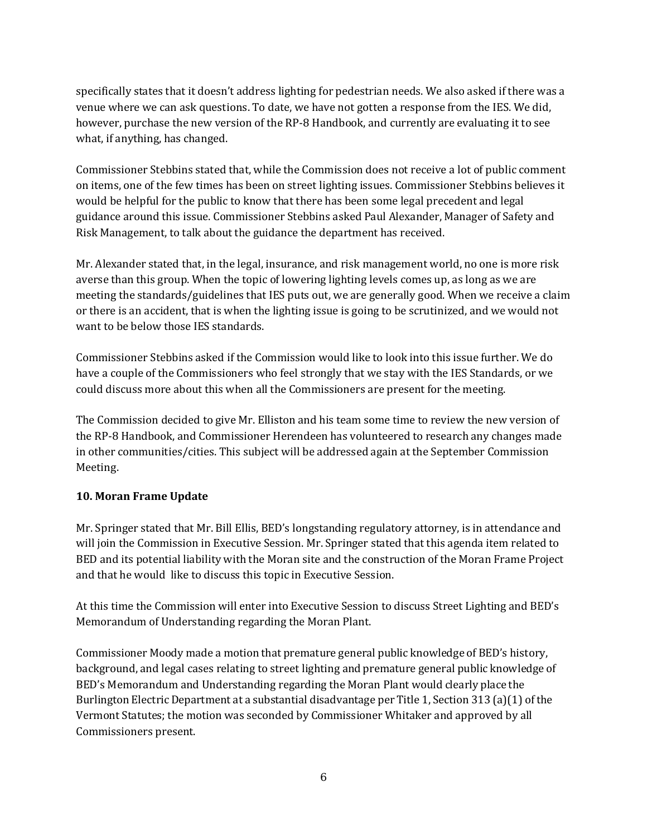specifically states that it doesn't address lighting for pedestrian needs. We also asked if there was a venue where we can ask questions. To date, we have not gotten a response from the IES. We did, however, purchase the new version of the RP-8 Handbook, and currently are evaluating it to see what, if anything, has changed.

Commissioner Stebbins stated that, while the Commission does not receive a lot of public comment on items, one of the few times has been on street lighting issues. Commissioner Stebbins believes it would be helpful for the public to know that there has been some legal precedent and legal guidance around this issue. Commissioner Stebbins asked Paul Alexander, Manager of Safety and Risk Management, to talk about the guidance the department has received.

Mr. Alexander stated that, in the legal, insurance, and risk management world, no one is more risk averse than this group. When the topic of lowering lighting levels comes up, as long as we are meeting the standards/guidelines that IES puts out, we are generally good. When we receive a claim or there is an accident, that is when the lighting issue is going to be scrutinized, and we would not want to be below those IES standards.

Commissioner Stebbins asked if the Commission would like to look into this issue further. We do have a couple of the Commissioners who feel strongly that we stay with the IES Standards, or we could discuss more about this when all the Commissioners are present for the meeting.

The Commission decided to give Mr. Elliston and his team some time to review the new version of the RP-8 Handbook, and Commissioner Herendeen has volunteered to research any changes made in other communities/cities. This subject will be addressed again at the September Commission Meeting.

#### **10. Moran Frame Update**

Mr. Springer stated that Mr. Bill Ellis, BED's longstanding regulatory attorney, is in attendance and will join the Commission in Executive Session. Mr. Springer stated that this agenda item related to BED and its potential liability with the Moran site and the construction of the Moran Frame Project and that he would like to discuss this topic in Executive Session.

At this time the Commission will enter into Executive Session to discuss Street Lighting and BED's Memorandum of Understanding regarding the Moran Plant.

Commissioner Moody made a motion that premature general public knowledge of BED's history, background, and legal cases relating to street lighting and premature general public knowledge of BED's Memorandum and Understanding regarding the Moran Plant would clearly place the Burlington Electric Department at a substantial disadvantage per Title 1, Section 313 (a)(1) of the Vermont Statutes; the motion was seconded by Commissioner Whitaker and approved by all Commissioners present.